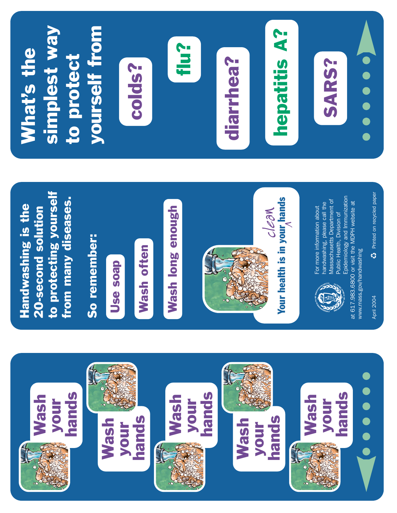